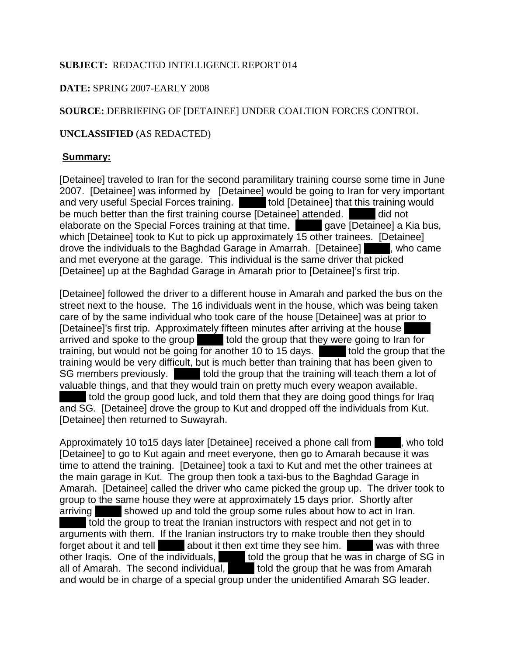# **SUBJECT:** REDACTED INTELLIGENCE REPORT 014

## **DATE:** SPRING 2007-EARLY 2008

# **SOURCE:** DEBRIEFING OF [DETAINEE] UNDER COALTION FORCES CONTROL

## **UNCLASSIFIED** (AS REDACTED)

#### **Summary:**

[Detainee] traveled to Iran for the second paramilitary training course some time in June 2007. [Detainee] was informed by [Detainee] would be going to Iran for very important and very useful Special Forces training. I valid [Detainee] that this training would be much better than the first training course [Detainee] attended. did not elaborate on the Special Forces training at that time. **The gave [Detainee] a Kia bus,** which [Detainee] took to Kut to pick up approximately 15 other trainees. [Detainee] drove the individuals to the Baghdad Garage in Amarrah. [Detainee]  $\blacksquare$ , who came and met everyone at the garage. This individual is the same driver that picked [Detainee] up at the Baghdad Garage in Amarah prior to [Detainee]'s first trip.

[Detainee] followed the driver to a different house in Amarah and parked the bus on the street next to the house. The 16 individuals went in the house, which was being taken care of by the same individual who took care of the house [Detainee] was at prior to [Detainee]'s first trip. Approximately fifteen minutes after arriving at the house arrived and spoke to the group told the group that they were going to Iran for training, but would not be going for another 10 to 15 days. I dold the group that the training would be very difficult, but is much better than training that has been given to SG members previously. In told the group that the training will teach them a lot of valuable things, and that they would train on pretty much every weapon available. told the group good luck, and told them that they are doing good things for Iraq

and SG. [Detainee] drove the group to Kut and dropped off the individuals from Kut. [Detainee] then returned to Suwayrah.

Approximately 10 to 15 days later [Detainee] received a phone call from  $\blacksquare$ , who told [Detainee] to go to Kut again and meet everyone, then go to Amarah because it was time to attend the training. [Detainee] took a taxi to Kut and met the other trainees at the main garage in Kut. The group then took a taxi-bus to the Baghdad Garage in Amarah. [Detainee] called the driver who came picked the group up. The driver took to group to the same house they were at approximately 15 days prior. Shortly after arriving showed up and told the group some rules about how to act in Iran. told the group to treat the Iranian instructors with respect and not get in to arguments with them. If the Iranian instructors try to make trouble then they should forget about it and tell **External about it then ext time they see him.** Was with three other Iraqis. One of the individuals,  $\blacksquare$  told the group that he was in charge of SG in all of Amarah. The second individual,  $\blacksquare$  told the group that he was from Amarah and would be in charge of a special group under the unidentified Amarah SG leader.